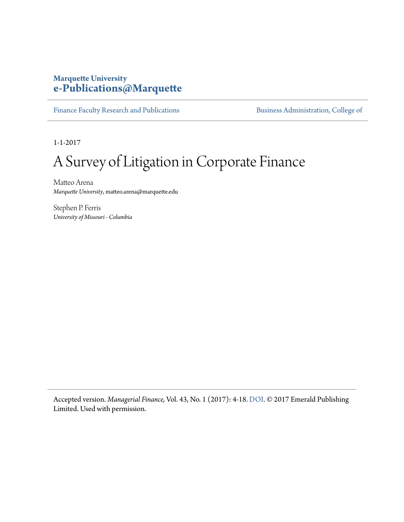#### **Marquette University [e-Publications@Marquette](http://epublications.marquette.edu)**

[Finance Faculty Research and Publications](http://epublications.marquette.edu/fin_fac) **Business Administration**, College of

1-1-2017

# A Survey of Litigation in Corporate Finance

Matteo Arena *Marquette University*, matteo.arena@marquette.edu

Stephen P. Ferris *University of Missouri - Columbia*

Accepted version. *Managerial Finance,* Vol. 43, No. 1 (2017): 4-18. [DOI](http://dx.doi.org/10.1108/MF-07-2016-0199). © 2017 Emerald Publishing Limited. Used with permission.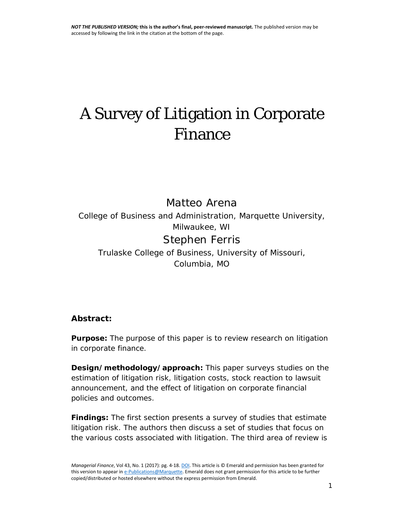# A Survey of Litigation in Corporate Finance

Matteo Arena

*College of Business and Administration, Marquette University, Milwaukee, WI*

Stephen Ferris

*Trulaske College of Business, University of Missouri, Columbia, MO*

#### **Abstract:**

**Purpose:** The purpose of this paper is to review research on litigation in corporate finance.

**Design/methodology/approach:** This paper surveys studies on the estimation of litigation risk, litigation costs, stock reaction to lawsuit announcement, and the effect of litigation on corporate financial policies and outcomes.

**Findings:** The first section presents a survey of studies that estimate litigation risk. The authors then discuss a set of studies that focus on the various costs associated with litigation. The third area of review is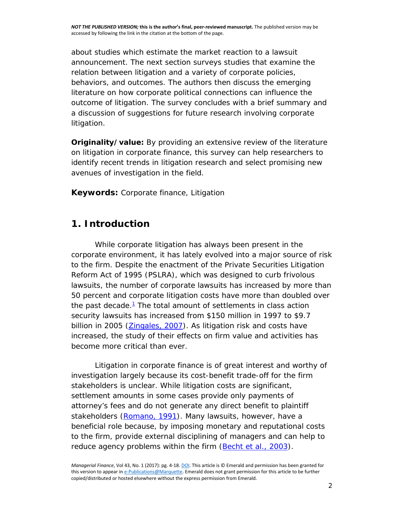about studies which estimate the market reaction to a lawsuit announcement. The next section surveys studies that examine the relation between litigation and a variety of corporate policies, behaviors, and outcomes. The authors then discuss the emerging literature on how corporate political connections can influence the outcome of litigation. The survey concludes with a brief summary and a discussion of suggestions for future research involving corporate litigation.

**Originality/value:** By providing an extensive review of the literature on litigation in corporate finance, this survey can help researchers to identify recent trends in litigation research and select promising new avenues of investigation in the field.

**Keywords:** Corporate finance, Litigation

# **1. Introduction**

While corporate litigation has always been present in the corporate environment, it has lately evolved into a major source of risk to the firm. Despite the enactment of the Private Securities Litigation Reform Act of 1995 (PSLRA), which was designed to curb frivolous lawsuits, the number of corporate lawsuits has increased by more than 50 percent and corporate litigation costs have more than doubled over the past decade. $1$  The total amount of settlements in class action security lawsuits has increased from \$150 million in 1997 to \$9.7 billion in 2005 [\(Zingales, 2007\)](http://www.emeraldinsight.com/doi/full/10.1108/MF-07-2016-0199). As litigation risk and costs have increased, the study of their effects on firm value and activities has become more critical than ever.

Litigation in corporate finance is of great interest and worthy of investigation largely because its cost-benefit trade-off for the firm stakeholders is unclear. While litigation costs are significant, settlement amounts in some cases provide only payments of attorney's fees and do not generate any direct benefit to plaintiff stakeholders [\(Romano, 1991\)](http://www.emeraldinsight.com/doi/full/10.1108/MF-07-2016-0199). Many lawsuits, however, have a beneficial role because, by imposing monetary and reputational costs to the firm, provide external disciplining of managers and can help to reduce agency problems within the firm (Becht *et al.*[, 2003\)](http://www.emeraldinsight.com/doi/full/10.1108/MF-07-2016-0199).

*Managerial Finance*, Vol 43, No. 1 (2017): pg. 4-18[. DOI.](https://doi.org/10.1108/MF-07-2016-0199) This article is © Emerald and permission has been granted for this version to appear i[n e-Publications@Marquette.](http://epublications.marquette.edu/) Emerald does not grant permission for this article to be further copied/distributed or hosted elsewhere without the express permission from Emerald.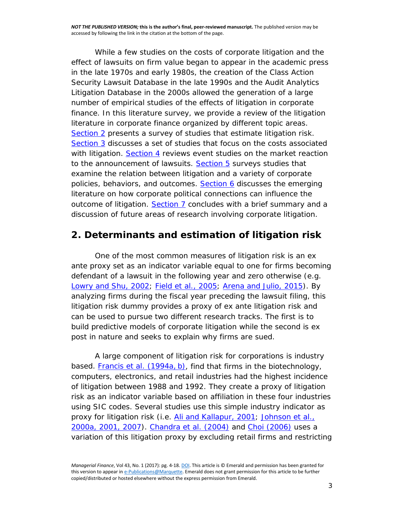While a few studies on the costs of corporate litigation and the effect of lawsuits on firm value began to appear in the academic press in the late 1970s and early 1980s, the creation of the Class Action Security Lawsuit Database in the late 1990s and the Audit Analytics Litigation Database in the 2000s allowed the generation of a large number of empirical studies of the effects of litigation in corporate finance. In this literature survey, we provide a review of the litigation literature in corporate finance organized by different topic areas. [Section 2](javascript:popRef() presents a survey of studies that estimate litigation risk. [Section 3](javascript:popRef() discusses a set of studies that focus on the costs associated with litigation. [Section 4](javascript:popRef() reviews event studies on the market reaction to the announcement of lawsuits. [Section 5](javascript:popRef() surveys studies that examine the relation between litigation and a variety of corporate policies, behaviors, and outcomes. [Section 6](javascript:popRef() discusses the emerging literature on how corporate political connections can influence the outcome of litigation. [Section 7](javascript:popRef() concludes with a brief summary and a discussion of future areas of research involving corporate litigation.

#### **2. Determinants and estimation of litigation risk**

One of the most common measures of litigation risk is an *ex ante* proxy set as an indicator variable equal to one for firms becoming defendant of a lawsuit in the following year and zero otherwise (e.g. [Lowry and Shu, 2002;](http://www.emeraldinsight.com/doi/full/10.1108/MF-07-2016-0199) Field *et al.*[, 2005; Arena and Julio, 2015\)](http://www.emeraldinsight.com/doi/full/10.1108/MF-07-2016-0199). By analyzing firms during the fiscal year preceding the lawsuit filing, this litigation risk dummy provides a proxy of *ex ante* litigation risk and can be used to pursue two different research tracks. The first is to build predictive models of corporate litigation while the second is *ex post* in nature and seeks to explain why firms are sued.

A large component of litigation risk for corporations is industry based. [Francis](http://www.emeraldinsight.com/doi/full/10.1108/MF-07-2016-0199) *et al.* (1994a, b), find that firms in the biotechnology, computers, electronics, and retail industries had the highest incidence of litigation between 1988 and 1992. They create a proxy of litigation risk as an indicator variable based on affiliation in these four industries using SIC codes. Several studies use this simple industry indicator as proxy for litigation risk (i.e. [Ali and Kallapur, 2001; Johnson](http://www.emeraldinsight.com/doi/full/10.1108/MF-07-2016-0199) *et al.*, [2000a, 2001, 2007\)](http://www.emeraldinsight.com/doi/full/10.1108/MF-07-2016-0199). [Chandra](http://www.emeraldinsight.com/doi/full/10.1108/MF-07-2016-0199) *et al.* (2004) and [Choi \(2006\)](http://www.emeraldinsight.com/doi/full/10.1108/MF-07-2016-0199) uses a variation of this litigation proxy by excluding retail firms and restricting

*Managerial Finance*, Vol 43, No. 1 (2017): pg. 4-18[. DOI.](https://doi.org/10.1108/MF-07-2016-0199) This article is © Emerald and permission has been granted for this version to appear i[n e-Publications@Marquette.](http://epublications.marquette.edu/) Emerald does not grant permission for this article to be further copied/distributed or hosted elsewhere without the express permission from Emerald.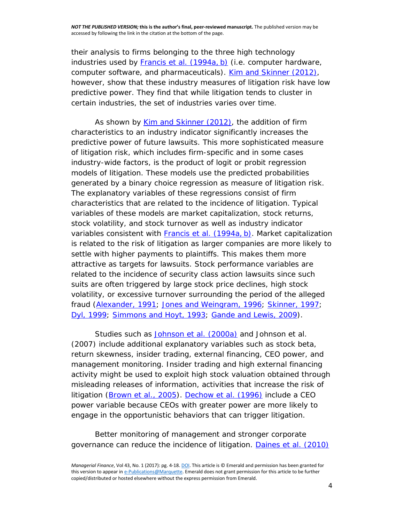their analysis to firms belonging to the three high technology industries used by [Francis](http://www.emeraldinsight.com/doi/full/10.1108/MF-07-2016-0199) *et al.* (1994a, b) (i.e. computer hardware, computer software, and pharmaceuticals). [Kim and Skinner \(2012\),](http://www.emeraldinsight.com/doi/full/10.1108/MF-07-2016-0199) however, show that these industry measures of litigation risk have low predictive power. They find that while litigation tends to cluster in certain industries, the set of industries varies over time.

As shown by [Kim and Skinner \(2012\),](http://www.emeraldinsight.com/doi/full/10.1108/MF-07-2016-0199) the addition of firm characteristics to an industry indicator significantly increases the predictive power of future lawsuits. This more sophisticated measure of litigation risk, which includes firm-specific and in some cases industry-wide factors, is the product of logit or probit regression models of litigation. These models use the predicted probabilities generated by a binary choice regression as measure of litigation risk. The explanatory variables of these regressions consist of firm characteristics that are related to the incidence of litigation. Typical variables of these models are market capitalization, stock returns, stock volatility, and stock turnover as well as industry indicator variables consistent with [Francis](http://www.emeraldinsight.com/doi/full/10.1108/MF-07-2016-0199) *et al.* (1994a, b). Market capitalization is related to the risk of litigation as larger companies are more likely to settle with higher payments to plaintiffs. This makes them more attractive as targets for lawsuits. Stock performance variables are related to the incidence of security class action lawsuits since such suits are often triggered by large stock price declines, high stock volatility, or excessive turnover surrounding the period of the alleged fraud [\(Alexander, 1991; Jones and Weingram, 1996; Skinner, 1997;](http://www.emeraldinsight.com/doi/full/10.1108/MF-07-2016-0199) [Dyl, 1999; Simmons and Hoyt, 1993; Gande and Lewis, 2009\)](http://www.emeraldinsight.com/doi/full/10.1108/MF-07-2016-0199).

Studies such as [Johnson](http://www.emeraldinsight.com/doi/full/10.1108/MF-07-2016-0199) *et al.* (2000a) and Johnson *et al.* (2007) include additional explanatory variables such as stock beta, return skewness, insider trading, external financing, CEO power, and management monitoring. Insider trading and high external financing activity might be used to exploit high stock valuation obtained through misleading releases of information, activities that increase the risk of litigation [\(Brown](http://www.emeraldinsight.com/doi/full/10.1108/MF-07-2016-0199) *et al.*, 2005). [Dechow](http://www.emeraldinsight.com/doi/full/10.1108/MF-07-2016-0199) *et al.* (1996) include a CEO power variable because CEOs with greater power are more likely to engage in the opportunistic behaviors that can trigger litigation.

Better monitoring of management and stronger corporate governance can reduce the incidence of litigation. [Daines](http://www.emeraldinsight.com/doi/full/10.1108/MF-07-2016-0199) *et al.* (2010)

*Managerial Finance*, Vol 43, No. 1 (2017): pg. 4-18[. DOI.](https://doi.org/10.1108/MF-07-2016-0199) This article is © Emerald and permission has been granted for this version to appear i[n e-Publications@Marquette.](http://epublications.marquette.edu/) Emerald does not grant permission for this article to be further copied/distributed or hosted elsewhere without the express permission from Emerald.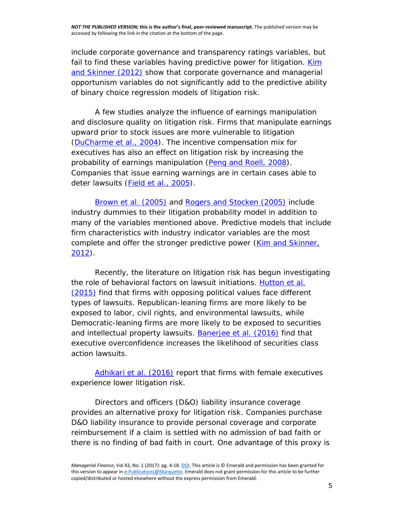include corporate governance and transparency ratings variables, but fail to find these variables having predictive power for litigation. Kim [and Skinner \(2012\)](http://www.emeraldinsight.com/doi/full/10.1108/MF-07-2016-0199) show that corporate governance and managerial opportunism variables do not significantly add to the predictive ability of binary choice regression models of litigation risk.

A few studies analyze the influence of earnings manipulation and disclosure quality on litigation risk. Firms that manipulate earnings upward prior to stock issues are more vulnerable to litigation [\(DuCharme](http://www.emeraldinsight.com/doi/full/10.1108/MF-07-2016-0199) *et al.*, 2004). The incentive compensation mix for executives has also an effect on litigation risk by increasing the probability of earnings manipulation (Peng [and Roell, 2008\)](http://www.emeraldinsight.com/doi/full/10.1108/MF-07-2016-0199). Companies that issue earning warnings are in certain cases able to deter lawsuits (Field *et al.*[, 2005\)](http://www.emeraldinsight.com/doi/full/10.1108/MF-07-2016-0199).

[Brown](http://www.emeraldinsight.com/doi/full/10.1108/MF-07-2016-0199) *et al.* (2005) and [Rogers and Stocken \(2005\)](http://www.emeraldinsight.com/doi/full/10.1108/MF-07-2016-0199) include industry dummies to their litigation probability model in addition to many of the variables mentioned above. Predictive models that include firm characteristics with industry indicator variables are the most complete and offer the stronger predictive power (Kim and Skinner, [2012\)](http://www.emeraldinsight.com/doi/full/10.1108/MF-07-2016-0199).

Recently, the literature on litigation risk has begun investigating the role of behavioral factors on lawsuit initiations. [Hutton](http://www.emeraldinsight.com/doi/full/10.1108/MF-07-2016-0199) *et al.* [\(2015\)](http://www.emeraldinsight.com/doi/full/10.1108/MF-07-2016-0199) find that firms with opposing political values face different types of lawsuits. Republican-leaning firms are more likely to be exposed to labor, civil rights, and environmental lawsuits, while Democratic-leaning firms are more likely to be exposed to securities and intellectual property lawsuits. [Banerjee](http://www.emeraldinsight.com/doi/full/10.1108/MF-07-2016-0199) *et al.* (2016) find that executive overconfidence increases the likelihood of securities class action lawsuits.

[Adhikari](http://www.emeraldinsight.com/doi/full/10.1108/MF-07-2016-0199) *et al.* (2016) report that firms with female executives experience lower litigation risk.

Directors and officers (D&O) liability insurance coverage provides an alternative proxy for litigation risk. Companies purchase D&O liability insurance to provide personal coverage and corporate reimbursement if a claim is settled with no admission of bad faith or there is no finding of bad faith in court. One advantage of this proxy is

*Managerial Finance*, Vol 43, No. 1 (2017): pg. 4-18[. DOI.](https://doi.org/10.1108/MF-07-2016-0199) This article is © Emerald and permission has been granted for this version to appear i[n e-Publications@Marquette.](http://epublications.marquette.edu/) Emerald does not grant permission for this article to be further copied/distributed or hosted elsewhere without the express permission from Emerald.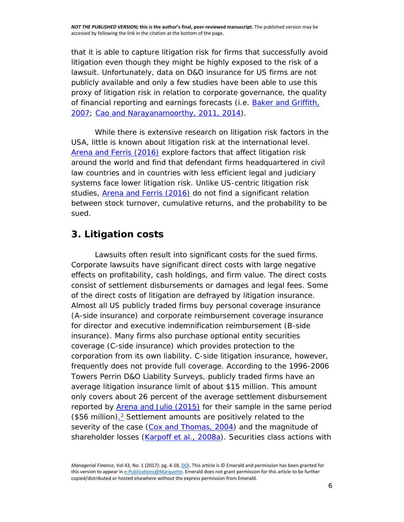that it is able to capture litigation risk for firms that successfully avoid litigation even though they might be highly exposed to the risk of a lawsuit. Unfortunately, data on D&O insurance for US firms are not publicly available and only a few studies have been able to use this proxy of litigation risk in relation to corporate governance, the quality of financial reporting and earnings forecasts (i.e. [Baker and Griffith,](http://www.emeraldinsight.com/doi/full/10.1108/MF-07-2016-0199)  [2007; Cao and Narayanamoorthy, 2011, 2014\)](http://www.emeraldinsight.com/doi/full/10.1108/MF-07-2016-0199).

While there is extensive research on litigation risk factors in the USA, little is known about litigation risk at the international level. [Arena and Ferris \(2016\)](http://www.emeraldinsight.com/doi/full/10.1108/MF-07-2016-0199) explore factors that affect litigation risk around the world and find that defendant firms headquartered in civil law countries and in countries with less efficient legal and judiciary systems face lower litigation risk. Unlike US-centric litigation risk studies, [Arena and Ferris \(2016\)](http://www.emeraldinsight.com/doi/full/10.1108/MF-07-2016-0199) do not find a significant relation between stock turnover, cumulative returns, and the probability to be sued.

### **3. Litigation costs**

Lawsuits often result into significant costs for the sued firms. Corporate lawsuits have significant direct costs with large negative effects on profitability, cash holdings, and firm value. The direct costs consist of settlement disbursements or damages and legal fees. Some of the direct costs of litigation are defrayed by litigation insurance. Almost all US publicly traded firms buy personal coverage insurance (A-side insurance) and corporate reimbursement coverage insurance for director and executive indemnification reimbursement (B-side insurance). Many firms also purchase optional entity securities coverage (C-side insurance) which provides protection to the corporation from its own liability. C-side litigation insurance, however, frequently does not provide full coverage. According to the 1996-2006 Towers Perrin D&O Liability Surveys, publicly traded firms have an average litigation insurance limit of about \$15 million. This amount only covers about 26 percent of the average settlement disbursement reported by **Arena and Julio (2015)** for their sample in the same period  $$56$  million).<sup>2</sup> Settlement amounts are positively related to the severity of the case [\(Cox and Thomas, 2004\)](http://www.emeraldinsight.com/doi/full/10.1108/MF-07-2016-0199) and the magnitude of shareholder losses (*Karpoff et al., 2008a*). Securities class actions with

*Managerial Finance*, Vol 43, No. 1 (2017): pg. 4-18[. DOI.](https://doi.org/10.1108/MF-07-2016-0199) This article is © Emerald and permission has been granted for this version to appear i[n e-Publications@Marquette.](http://epublications.marquette.edu/) Emerald does not grant permission for this article to be further copied/distributed or hosted elsewhere without the express permission from Emerald.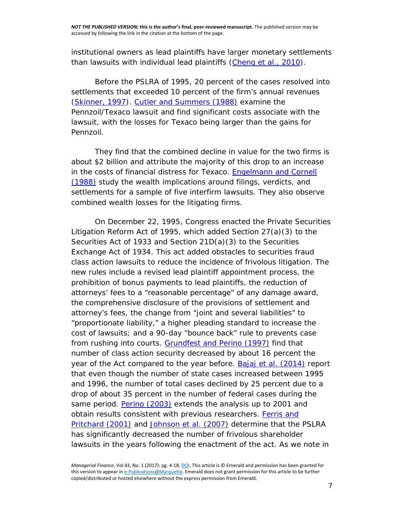institutional owners as lead plaintiffs have larger monetary settlements than lawsuits with individual lead plaintiffs [\(Cheng](http://www.emeraldinsight.com/doi/full/10.1108/MF-07-2016-0199) *et al.*, 2010).

Before the PSLRA of 1995, 20 percent of the cases resolved into settlements that exceeded 10 percent of the firm's annual revenues [\(Skinner, 1997\)](http://www.emeraldinsight.com/doi/full/10.1108/MF-07-2016-0199). [Cutler and Summers \(1988\)](http://www.emeraldinsight.com/doi/full/10.1108/MF-07-2016-0199) examine the Pennzoil/Texaco lawsuit and find significant costs associate with the lawsuit, with the losses for Texaco being larger than the gains for Pennzoil.

They find that the combined decline in value for the two firms is about \$2 billion and attribute the majority of this drop to an increase in the costs of financial distress for Texaco. [Engelmann and Cornell](http://www.emeraldinsight.com/doi/full/10.1108/MF-07-2016-0199)  [\(1988\)](http://www.emeraldinsight.com/doi/full/10.1108/MF-07-2016-0199) study the wealth implications around filings, verdicts, and settlements for a sample of five interfirm lawsuits. They also observe combined wealth losses for the litigating firms.

On December 22, 1995, Congress enacted the Private Securities Litigation Reform Act of 1995, which added Section 27(a)(3) to the Securities Act of 1933 and Section 21D(a)(3) to the Securities Exchange Act of 1934. This act added obstacles to securities fraud class action lawsuits to reduce the incidence of frivolous litigation. The new rules include a revised lead plaintiff appointment process, the prohibition of bonus payments to lead plaintiffs, the reduction of attorneys' fees to a "reasonable percentage" of any damage award, the comprehensive disclosure of the provisions of settlement and attorney's fees, the change from "joint and several liabilities" to "proportionate liability," a higher pleading standard to increase the cost of lawsuits; and a 90-day "bounce back" rule to prevents case from rushing into courts. [Grundfest and Perino \(1997\)](http://www.emeraldinsight.com/doi/full/10.1108/MF-07-2016-0199) find that number of class action security decreased by about 16 percent the year of the Act compared to the year before. Bajaj *et al.* [\(2014\)](http://www.emeraldinsight.com/doi/full/10.1108/MF-07-2016-0199) report that even though the number of state cases increased between 1995 and 1996, the number of total cases declined by 25 percent due to a drop of about 35 percent in the number of federal cases during the same period. [Perino \(2003\)](http://www.emeraldinsight.com/doi/full/10.1108/MF-07-2016-0199) extends the analysis up to 2001 and obtain results consistent with previous researchers. Ferris and [Pritchard \(2001\)](http://www.emeraldinsight.com/doi/full/10.1108/MF-07-2016-0199) and [Johnson](http://www.emeraldinsight.com/doi/full/10.1108/MF-07-2016-0199) *et al.* (2007) determine that the PSLRA has significantly decreased the number of frivolous shareholder lawsuits in the years following the enactment of the act. As we note in

*Managerial Finance*, Vol 43, No. 1 (2017): pg. 4-18[. DOI.](https://doi.org/10.1108/MF-07-2016-0199) This article is © Emerald and permission has been granted for this version to appear i[n e-Publications@Marquette.](http://epublications.marquette.edu/) Emerald does not grant permission for this article to be further copied/distributed or hosted elsewhere without the express permission from Emerald.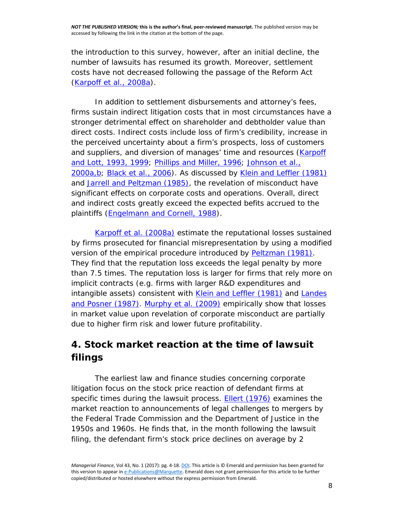the introduction to this survey, however, after an initial decline, the number of lawsuits has resumed its growth. Moreover, settlement costs have not decreased following the passage of the Reform Act [\(Karpoff](http://www.emeraldinsight.com/doi/full/10.1108/MF-07-2016-0199) *et al.*, 2008a).

In addition to settlement disbursements and attorney's fees, firms sustain indirect litigation costs that in most circumstances have a stronger detrimental effect on shareholder and debtholder value than direct costs. Indirect costs include loss of firm's credibility, increase in the perceived uncertainty about a firm's prospects, loss of customers and suppliers, and diversion of manages' time and resources [\(Karpoff](http://www.emeraldinsight.com/doi/full/10.1108/MF-07-2016-0199)  [and Lott, 1993, 1999; Phillips and Miller, 1996; Johnson](http://www.emeraldinsight.com/doi/full/10.1108/MF-07-2016-0199) *et al.*, [2000a,b;](http://www.emeraldinsight.com/doi/full/10.1108/MF-07-2016-0199) Black *et al.*[, 2006\)](http://www.emeraldinsight.com/doi/full/10.1108/MF-07-2016-0199). As discussed by [Klein and Leffler \(1981\)](http://www.emeraldinsight.com/doi/full/10.1108/MF-07-2016-0199) and [Jarrell and Peltzman \(1985\),](http://www.emeraldinsight.com/doi/full/10.1108/MF-07-2016-0199) the revelation of misconduct have significant effects on corporate costs and operations. Overall, direct and indirect costs greatly exceed the expected befits accrued to the plaintiffs [\(Engelmann and Cornell, 1988\)](http://www.emeraldinsight.com/doi/full/10.1108/MF-07-2016-0199).

Karpoff *et al.* [\(2008a\)](http://www.emeraldinsight.com/doi/full/10.1108/MF-07-2016-0199) estimate the reputational losses sustained by firms prosecuted for financial misrepresentation by using a modified version of the empirical procedure introduced by [Peltzman \(1981\).](http://www.emeraldinsight.com/doi/full/10.1108/MF-07-2016-0199) They find that the reputation loss exceeds the legal penalty by more than 7.5 times. The reputation loss is larger for firms that rely more on implicit contracts (e.g. firms with larger R&D expenditures and intangible assets) consistent with [Klein and Leffler \(1981\)](http://www.emeraldinsight.com/doi/full/10.1108/MF-07-2016-0199) and Landes [and Posner \(1987\). Murphy](http://www.emeraldinsight.com/doi/full/10.1108/MF-07-2016-0199) *et al.* (2009) empirically show that losses in market value upon revelation of corporate misconduct are partially due to higher firm risk and lower future profitability.

# **4. Stock market reaction at the time of lawsuit filings**

The earliest law and finance studies concerning corporate litigation focus on the stock price reaction of defendant firms at specific times during the lawsuit process. **Ellert (1976)** examines the market reaction to announcements of legal challenges to mergers by the Federal Trade Commission and the Department of Justice in the 1950s and 1960s. He finds that, in the month following the lawsuit filing, the defendant firm's stock price declines on average by 2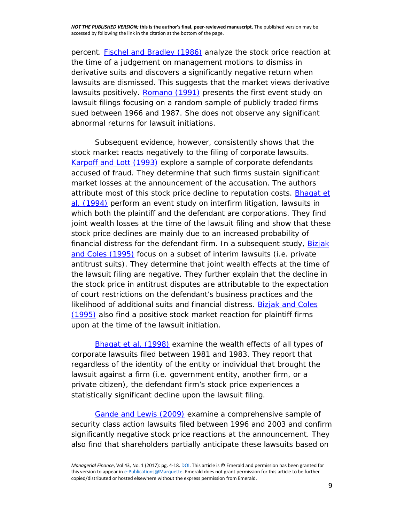percent. [Fischel and Bradley \(1986\)](http://www.emeraldinsight.com/doi/full/10.1108/MF-07-2016-0199) analyze the stock price reaction at the time of a judgement on management motions to dismiss in derivative suits and discovers a significantly negative return when lawsuits are dismissed. This suggests that the market views derivative lawsuits positively. [Romano \(1991\)](http://www.emeraldinsight.com/doi/full/10.1108/MF-07-2016-0199) presents the first event study on lawsuit filings focusing on a random sample of publicly traded firms sued between 1966 and 1987. She does not observe any significant abnormal returns for lawsuit initiations.

Subsequent evidence, however, consistently shows that the stock market reacts negatively to the filing of corporate lawsuits. [Karpoff and Lott \(1993\)](http://www.emeraldinsight.com/doi/full/10.1108/MF-07-2016-0199) explore a sample of corporate defendants accused of fraud. They determine that such firms sustain significant market losses at the announcement of the accusation. The authors attribute most of this stock price decline to reputation costs. [Bhagat](http://www.emeraldinsight.com/doi/full/10.1108/MF-07-2016-0199) *et al.* [\(1994\)](http://www.emeraldinsight.com/doi/full/10.1108/MF-07-2016-0199) perform an event study on interfirm litigation, lawsuits in which both the plaintiff and the defendant are corporations. They find joint wealth losses at the time of the lawsuit filing and show that these stock price declines are mainly due to an increased probability of financial distress for the defendant firm. In a subsequent study, Bizjak [and Coles \(1995\)](http://www.emeraldinsight.com/doi/full/10.1108/MF-07-2016-0199) focus on a subset of interim lawsuits (i.e. private antitrust suits). They determine that joint wealth effects at the time of the lawsuit filing are negative. They further explain that the decline in the stock price in antitrust disputes are attributable to the expectation of court restrictions on the defendant's business practices and the likelihood of additional suits and financial distress. Bizjak and Coles [\(1995\)](http://www.emeraldinsight.com/doi/full/10.1108/MF-07-2016-0199) also find a positive stock market reaction for plaintiff firms upon at the time of the lawsuit initiation.

[Bhagat](http://www.emeraldinsight.com/doi/full/10.1108/MF-07-2016-0199) *et al.* (1998) examine the wealth effects of all types of corporate lawsuits filed between 1981 and 1983. They report that regardless of the identity of the entity or individual that brought the lawsuit against a firm (i.e. government entity, another firm, or a private citizen), the defendant firm's stock price experiences a statistically significant decline upon the lawsuit filing.

[Gande and Lewis \(2009\)](http://www.emeraldinsight.com/doi/full/10.1108/MF-07-2016-0199) examine a comprehensive sample of security class action lawsuits filed between 1996 and 2003 and confirm significantly negative stock price reactions at the announcement. They also find that shareholders partially anticipate these lawsuits based on

*Managerial Finance*, Vol 43, No. 1 (2017): pg. 4-18[. DOI.](https://doi.org/10.1108/MF-07-2016-0199) This article is © Emerald and permission has been granted for this version to appear i[n e-Publications@Marquette.](http://epublications.marquette.edu/) Emerald does not grant permission for this article to be further copied/distributed or hosted elsewhere without the express permission from Emerald.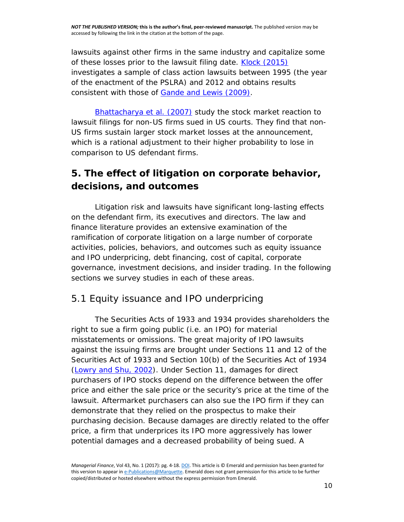lawsuits against other firms in the same industry and capitalize some of these losses prior to the lawsuit filing date. [Klock \(2015\)](http://www.emeraldinsight.com/doi/full/10.1108/MF-07-2016-0199) investigates a sample of class action lawsuits between 1995 (the year of the enactment of the PSLRA) and 2012 and obtains results consistent with those of [Gande and Lewis \(2009\).](http://www.emeraldinsight.com/doi/full/10.1108/MF-07-2016-0199)

[Bhattacharya](http://www.emeraldinsight.com/doi/full/10.1108/MF-07-2016-0199) *et al.* (2007) study the stock market reaction to lawsuit filings for non-US firms sued in US courts. They find that non-US firms sustain larger stock market losses at the announcement, which is a rational adjustment to their higher probability to lose in comparison to US defendant firms.

# **5. The effect of litigation on corporate behavior, decisions, and outcomes**

Litigation risk and lawsuits have significant long-lasting effects on the defendant firm, its executives and directors. The law and finance literature provides an extensive examination of the ramification of corporate litigation on a large number of corporate activities, policies, behaviors, and outcomes such as equity issuance and IPO underpricing, debt financing, cost of capital, corporate governance, investment decisions, and insider trading. In the following sections we survey studies in each of these areas.

#### *5.1 Equity issuance and IPO underpricing*

The Securities Acts of 1933 and 1934 provides shareholders the right to sue a firm going public (i.e. an IPO) for material misstatements or omissions. The great majority of IPO lawsuits against the issuing firms are brought under Sections 11 and 12 of the Securities Act of 1933 and Section 10(b) of the Securities Act of 1934 [\(Lowry and Shu, 2002\)](http://www.emeraldinsight.com/doi/full/10.1108/MF-07-2016-0199). Under Section 11, damages for direct purchasers of IPO stocks depend on the difference between the offer price and either the sale price or the security's price at the time of the lawsuit. Aftermarket purchasers can also sue the IPO firm if they can demonstrate that they relied on the prospectus to make their purchasing decision. Because damages are directly related to the offer price, a firm that underprices its IPO more aggressively has lower potential damages and a decreased probability of being sued. A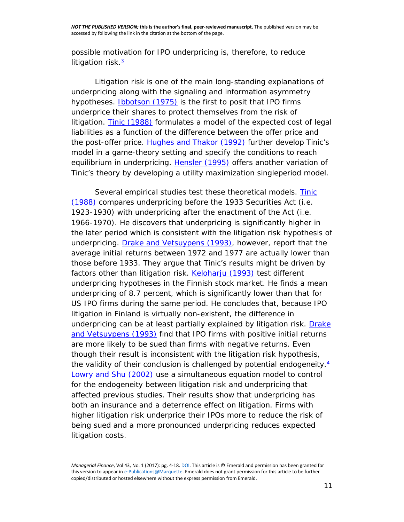possible motivation for IPO underpricing is, therefore, to reduce litigation risk. $3$ 

Litigation risk is one of the main long-standing explanations of underpricing along with the signaling and information asymmetry hypotheses. [Ibbotson \(1975\)](http://www.emeraldinsight.com/doi/full/10.1108/MF-07-2016-0199) is the first to posit that IPO firms underprice their shares to protect themselves from the risk of litigation. [Tinic \(1988\)](http://www.emeraldinsight.com/doi/full/10.1108/MF-07-2016-0199) formulates a model of the expected cost of legal liabilities as a function of the difference between the offer price and the post-offer price. [Hughes and Thakor \(1992\)](http://www.emeraldinsight.com/doi/full/10.1108/MF-07-2016-0199) further develop Tinic's model in a game-theory setting and specify the conditions to reach equilibrium in underpricing. [Hensler \(1995\)](http://www.emeraldinsight.com/doi/full/10.1108/MF-07-2016-0199) offers another variation of Tinic's theory by developing a utility maximization singleperiod model.

Several empirical studies test these theoretical models. Tinic [\(1988\)](http://www.emeraldinsight.com/doi/full/10.1108/MF-07-2016-0199) compares underpricing before the 1933 Securities Act (i.e. 1923-1930) with underpricing after the enactment of the Act (i.e. 1966-1970). He discovers that underpricing is significantly higher in the later period which is consistent with the litigation risk hypothesis of underpricing. [Drake and Vetsuypens \(1993\),](http://www.emeraldinsight.com/doi/full/10.1108/MF-07-2016-0199) however, report that the average initial returns between 1972 and 1977 are actually lower than those before 1933. They argue that Tinic's results might be driven by factors other than litigation risk. [Keloharju](http://www.emeraldinsight.com/doi/full/10.1108/MF-07-2016-0199) (1993) test different underpricing hypotheses in the Finnish stock market. He finds a mean underpricing of 8.7 percent, which is significantly lower than that for US IPO firms during the same period. He concludes that, because IPO litigation in Finland is virtually non-existent, the difference in underpricing can be at least partially explained by litigation risk. Drake [and Vetsuypens \(1993\)](http://www.emeraldinsight.com/doi/full/10.1108/MF-07-2016-0199) find that IPO firms with positive initial returns are more likely to be sued than firms with negative returns. Even though their result is inconsistent with the litigation risk hypothesis, the validity of their conclusion is challenged by potential endogeneity. $4$ [Lowry and Shu \(2002\)](http://www.emeraldinsight.com/doi/full/10.1108/MF-07-2016-0199) use a simultaneous equation model to control for the endogeneity between litigation risk and underpricing that affected previous studies. Their results show that underpricing has both an insurance and a deterrence effect on litigation. Firms with higher litigation risk underprice their IPOs more to reduce the risk of being sued and a more pronounced underpricing reduces expected litigation costs.

*Managerial Finance*, Vol 43, No. 1 (2017): pg. 4-18[. DOI.](https://doi.org/10.1108/MF-07-2016-0199) This article is © Emerald and permission has been granted for this version to appear i[n e-Publications@Marquette.](http://epublications.marquette.edu/) Emerald does not grant permission for this article to be further copied/distributed or hosted elsewhere without the express permission from Emerald.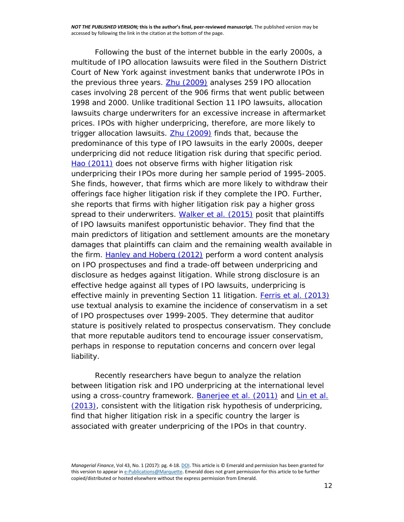Following the bust of the internet bubble in the early 2000s, a multitude of IPO allocation lawsuits were filed in the Southern District Court of New York against investment banks that underwrote IPOs in the previous three years. **Zhu (2009)** analyses 259 IPO allocation cases involving 28 percent of the 906 firms that went public between 1998 and 2000. Unlike traditional Section 11 IPO lawsuits, allocation lawsuits charge underwriters for an excessive increase in aftermarket prices. IPOs with higher underpricing, therefore, are more likely to trigger allocation lawsuits. [Zhu \(2009\)](http://www.emeraldinsight.com/doi/full/10.1108/MF-07-2016-0199) finds that, because the predominance of this type of IPO lawsuits in the early 2000s, deeper underpricing did not reduce litigation risk during that specific period. [Hao \(2011\)](http://www.emeraldinsight.com/doi/full/10.1108/MF-07-2016-0199) does not observe firms with higher litigation risk underpricing their IPOs more during her sample period of 1995-2005. She finds, however, that firms which are more likely to withdraw their offerings face higher litigation risk if they complete the IPO. Further, she reports that firms with higher litigation risk pay a higher gross spread to their underwriters. [Walker](http://www.emeraldinsight.com/doi/full/10.1108/MF-07-2016-0199) *et al.* (2015) posit that plaintiffs of IPO lawsuits manifest opportunistic behavior. They find that the main predictors of litigation and settlement amounts are the monetary damages that plaintiffs can claim and the remaining wealth available in the firm. [Hanley and Hoberg \(2012\)](http://www.emeraldinsight.com/doi/full/10.1108/MF-07-2016-0199) perform a word content analysis on IPO prospectuses and find a trade-off between underpricing and disclosure as hedges against litigation. While strong disclosure is an effective hedge against all types of IPO lawsuits, underpricing is effective mainly in preventing Section 11 litigation. Ferris *et al.* [\(2013\)](http://www.emeraldinsight.com/doi/full/10.1108/MF-07-2016-0199) use textual analysis to examine the incidence of conservatism in a set of IPO prospectuses over 1999-2005. They determine that auditor stature is positively related to prospectus conservatism. They conclude that more reputable auditors tend to encourage issuer conservatism, perhaps in response to reputation concerns and concern over legal liability.

Recently researchers have begun to analyze the relation between litigation risk and IPO underpricing at the international level using a cross-country framework. [Banerjee](http://www.emeraldinsight.com/doi/full/10.1108/MF-07-2016-0199) *et al.* (2011) and Lin *[et al.](http://www.emeraldinsight.com/doi/full/10.1108/MF-07-2016-0199)* [\(2013\),](http://www.emeraldinsight.com/doi/full/10.1108/MF-07-2016-0199) consistent with the litigation risk hypothesis of underpricing, find that higher litigation risk in a specific country the larger is associated with greater underpricing of the IPOs in that country.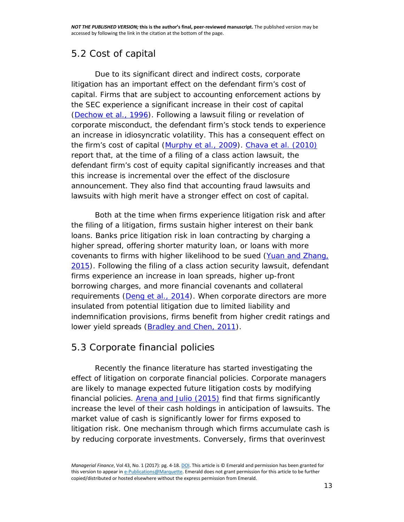### *5.2 Cost of capital*

Due to its significant direct and indirect costs, corporate litigation has an important effect on the defendant firm's cost of capital. Firms that are subject to accounting enforcement actions by the SEC experience a significant increase in their cost of capital [\(Dechow](http://www.emeraldinsight.com/doi/full/10.1108/MF-07-2016-0199) *et al.*, 1996). Following a lawsuit filing or revelation of corporate misconduct, the defendant firm's stock tends to experience an increase in idiosyncratic volatility. This has a consequent effect on the firm's cost of capital [\(Murphy](http://www.emeraldinsight.com/doi/full/10.1108/MF-07-2016-0199) *et al.*, 2009). [Chava](http://www.emeraldinsight.com/doi/full/10.1108/MF-07-2016-0199) *et al.* (2010) report that, at the time of a filing of a class action lawsuit, the defendant firm's cost of equity capital significantly increases and that this increase is incremental over the effect of the disclosure announcement. They also find that accounting fraud lawsuits and lawsuits with high merit have a stronger effect on cost of capital.

Both at the time when firms experience litigation risk and after the filing of a litigation, firms sustain higher interest on their bank loans. Banks price litigation risk in loan contracting by charging a higher spread, offering shorter maturity loan, or loans with more covenants to firms with higher likelihood to be sued [\(Yuan and Zhang,](http://www.emeraldinsight.com/doi/full/10.1108/MF-07-2016-0199)  [2015\)](http://www.emeraldinsight.com/doi/full/10.1108/MF-07-2016-0199). Following the filing of a class action security lawsuit, defendant firms experience an increase in loan spreads, higher up-front borrowing charges, and more financial covenants and collateral requirements (Deng *et al.*[, 2014\)](http://www.emeraldinsight.com/doi/full/10.1108/MF-07-2016-0199). When corporate directors are more insulated from potential litigation due to limited liability and indemnification provisions, firms benefit from higher credit ratings and lower yield spreads [\(Bradley and Chen, 2011\)](http://www.emeraldinsight.com/doi/full/10.1108/MF-07-2016-0199).

# *5.3 Corporate financial policies*

Recently the finance literature has started investigating the effect of litigation on corporate financial policies. Corporate managers are likely to manage expected future litigation costs by modifying financial policies. [Arena and Julio \(2015\)](http://www.emeraldinsight.com/doi/full/10.1108/MF-07-2016-0199) find that firms significantly increase the level of their cash holdings in anticipation of lawsuits. The market value of cash is significantly lower for firms exposed to litigation risk. One mechanism through which firms accumulate cash is by reducing corporate investments. Conversely, firms that overinvest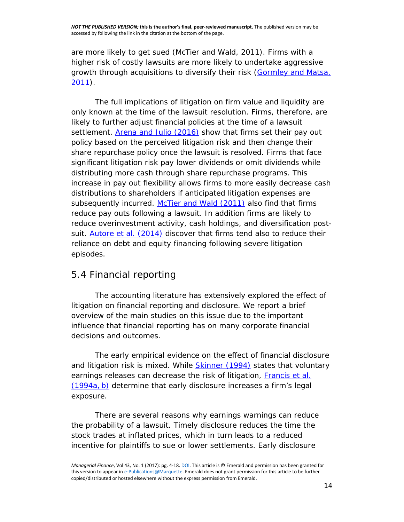are more likely to get sued (McTier and Wald, 2011). Firms with a higher risk of costly lawsuits are more likely to undertake aggressive growth through acquisitions to diversify their risk (Gormley and Matsa, [2011\)](http://www.emeraldinsight.com/doi/full/10.1108/MF-07-2016-0199).

The full implications of litigation on firm value and liquidity are only known at the time of the lawsuit resolution. Firms, therefore, are likely to further adjust financial policies at the time of a lawsuit settlement. [Arena and Julio \(2016\)](http://www.emeraldinsight.com/doi/full/10.1108/MF-07-2016-0199) show that firms set their pay out policy based on the perceived litigation risk and then change their share repurchase policy once the lawsuit is resolved. Firms that face significant litigation risk pay lower dividends or omit dividends while distributing more cash through share repurchase programs. This increase in pay out flexibility allows firms to more easily decrease cash distributions to shareholders if anticipated litigation expenses are subsequently incurred. [McTier and Wald \(2011\)](http://www.emeraldinsight.com/doi/full/10.1108/MF-07-2016-0199) also find that firms reduce pay outs following a lawsuit. In addition firms are likely to reduce overinvestment activity, cash holdings, and diversification postsuit. [Autore](http://www.emeraldinsight.com/doi/full/10.1108/MF-07-2016-0199) *et al.* (2014) discover that firms tend also to reduce their reliance on debt and equity financing following severe litigation episodes.

# *5.4 Financial reporting*

The accounting literature has extensively explored the effect of litigation on financial reporting and disclosure. We report a brief overview of the main studies on this issue due to the important influence that financial reporting has on many corporate financial decisions and outcomes.

The early empirical evidence on the effect of financial disclosure and litigation risk is mixed. While **Skinner** (1994) states that voluntary earnings releases can decrease the risk of litigation, [Francis](http://www.emeraldinsight.com/doi/full/10.1108/MF-07-2016-0199) *et al.* [\(1994a,](http://www.emeraldinsight.com/doi/full/10.1108/MF-07-2016-0199) b) determine that early disclosure increases a firm's legal exposure.

There are several reasons why earnings warnings can reduce the probability of a lawsuit. Timely disclosure reduces the time the stock trades at inflated prices, which in turn leads to a reduced incentive for plaintiffs to sue or lower settlements. Early disclosure

*Managerial Finance*, Vol 43, No. 1 (2017): pg. 4-18[. DOI.](https://doi.org/10.1108/MF-07-2016-0199) This article is © Emerald and permission has been granted for this version to appear i[n e-Publications@Marquette.](http://epublications.marquette.edu/) Emerald does not grant permission for this article to be further copied/distributed or hosted elsewhere without the express permission from Emerald.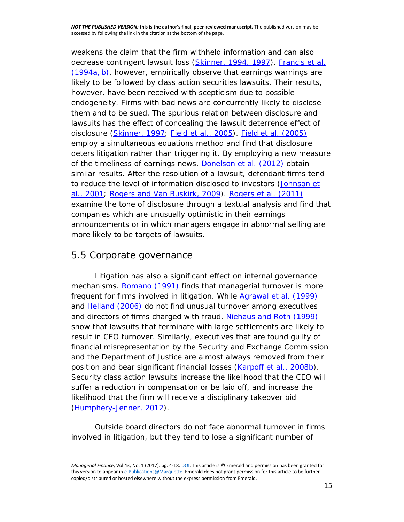weakens the claim that the firm withheld information and can also decrease contingent lawsuit loss [\(Skinner, 1994, 1997\)](http://www.emeraldinsight.com/doi/full/10.1108/MF-07-2016-0199). [Francis](http://www.emeraldinsight.com/doi/full/10.1108/MF-07-2016-0199) *et al.* [\(1994a,](http://www.emeraldinsight.com/doi/full/10.1108/MF-07-2016-0199) b), however, empirically observe that earnings warnings are likely to be followed by class action securities lawsuits. Their results, however, have been received with scepticism due to possible endogeneity. Firms with bad news are concurrently likely to disclose them and to be sued. The spurious relation between disclosure and lawsuits has the effect of concealing the lawsuit deterrence effect of disclosure [\(Skinner, 1997;](http://www.emeraldinsight.com/doi/full/10.1108/MF-07-2016-0199) Field *et al.*[, 2005\)](http://www.emeraldinsight.com/doi/full/10.1108/MF-07-2016-0199). Field *et al.* [\(2005\)](http://www.emeraldinsight.com/doi/full/10.1108/MF-07-2016-0199) employ a simultaneous equations method and find that disclosure deters litigation rather than triggering it. By employing a new measure of the timeliness of earnings news, [Donelson](http://www.emeraldinsight.com/doi/full/10.1108/MF-07-2016-0199) *et al.* (2012) obtain similar results. After the resolution of a lawsuit, defendant firms tend to reduce the level of information disclosed to investors [\(Johnson](http://www.emeraldinsight.com/doi/full/10.1108/MF-07-2016-0199) *et al.*[, 2001; Rogers and Van Buskirk, 2009\)](http://www.emeraldinsight.com/doi/full/10.1108/MF-07-2016-0199). [Rogers](http://www.emeraldinsight.com/doi/full/10.1108/MF-07-2016-0199) *et al.* (2011) examine the tone of disclosure through a textual analysis and find that companies which are unusually optimistic in their earnings announcements or in which managers engage in abnormal selling are more likely to be targets of lawsuits.

#### *5.5 Corporate governance*

Litigation has also a significant effect on internal governance mechanisms. [Romano \(1991\)](http://www.emeraldinsight.com/doi/full/10.1108/MF-07-2016-0199) finds that managerial turnover is more frequent for firms involved in litigation. While [Agrawal](http://www.emeraldinsight.com/doi/full/10.1108/MF-07-2016-0199) *et al.* (1999) and [Helland \(2006\)](http://www.emeraldinsight.com/doi/full/10.1108/MF-07-2016-0199) do not find unusual turnover among executives and directors of firms charged with fraud, [Niehaus and Roth \(1999\)](http://www.emeraldinsight.com/doi/full/10.1108/MF-07-2016-0199) show that lawsuits that terminate with large settlements are likely to result in CEO turnover. Similarly, executives that are found guilty of financial misrepresentation by the Security and Exchange Commission and the Department of Justice are almost always removed from their position and bear significant financial losses [\(Karpoff](http://www.emeraldinsight.com/doi/full/10.1108/MF-07-2016-0199) *et al.*, 2008b). Security class action lawsuits increase the likelihood that the CEO will suffer a reduction in compensation or be laid off, and increase the likelihood that the firm will receive a disciplinary takeover bid [\(Humphery-Jenner, 2012\)](http://www.emeraldinsight.com/doi/full/10.1108/MF-07-2016-0199).

Outside board directors do not face abnormal turnover in firms involved in litigation, but they tend to lose a significant number of

*Managerial Finance*, Vol 43, No. 1 (2017): pg. 4-18[. DOI.](https://doi.org/10.1108/MF-07-2016-0199) This article is © Emerald and permission has been granted for this version to appear i[n e-Publications@Marquette.](http://epublications.marquette.edu/) Emerald does not grant permission for this article to be further copied/distributed or hosted elsewhere without the express permission from Emerald.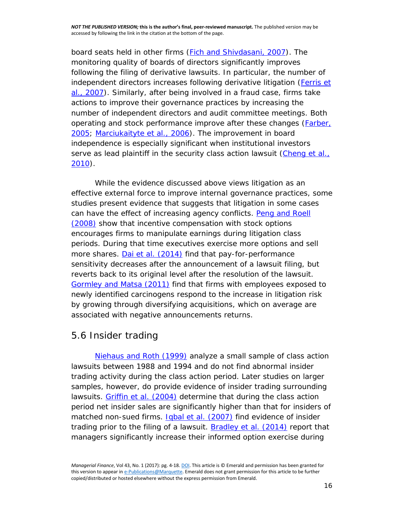board seats held in other firms [\(Fich and Shivdasani, 2007\)](http://www.emeraldinsight.com/doi/full/10.1108/MF-07-2016-0199). The monitoring quality of boards of directors significantly improves following the filing of derivative lawsuits. In particular, the number of independent directors increases following derivative litigation [\(Ferris](http://www.emeraldinsight.com/doi/full/10.1108/MF-07-2016-0199) *et al.*[, 2007\)](http://www.emeraldinsight.com/doi/full/10.1108/MF-07-2016-0199). Similarly, after being involved in a fraud case, firms take actions to improve their governance practices by increasing the number of independent directors and audit committee meetings. Both operating and stock performance improve after these changes (*Farber*, [2005; Marciukaityte](http://www.emeraldinsight.com/doi/full/10.1108/MF-07-2016-0199) *et al.*, 2006). The improvement in board independence is especially significant when institutional investors serve as lead plaintiff in the security class action lawsuit [\(Cheng](http://www.emeraldinsight.com/doi/full/10.1108/MF-07-2016-0199) *et al.*, [2010\)](http://www.emeraldinsight.com/doi/full/10.1108/MF-07-2016-0199).

While the evidence discussed above views litigation as an effective external force to improve internal governance practices, some studies present evidence that suggests that litigation in some cases can have the effect of increasing agency conflicts. [Peng and Roell](http://www.emeraldinsight.com/doi/full/10.1108/MF-07-2016-0199)  [\(2008\)](http://www.emeraldinsight.com/doi/full/10.1108/MF-07-2016-0199) show that incentive compensation with stock options encourages firms to manipulate earnings during litigation class periods. During that time executives exercise more options and sell more shares. Dai *et al.* [\(2014\)](http://www.emeraldinsight.com/doi/full/10.1108/MF-07-2016-0199) find that pay-for-performance sensitivity decreases after the announcement of a lawsuit filing, but reverts back to its original level after the resolution of the lawsuit. [Gormley and Matsa \(2011\)](http://www.emeraldinsight.com/doi/full/10.1108/MF-07-2016-0199) find that firms with employees exposed to newly identified carcinogens respond to the increase in litigation risk by growing through diversifying acquisitions, which on average are associated with negative announcements returns.

#### *5.6 Insider trading*

[Niehaus and Roth](http://www.emeraldinsight.com/doi/full/10.1108/MF-07-2016-0199) (1999) analyze a small sample of class action lawsuits between 1988 and 1994 and do not find abnormal insider trading activity during the class action period. Later studies on larger samples, however, do provide evidence of insider trading surrounding lawsuits. [Griffin](http://www.emeraldinsight.com/doi/full/10.1108/MF-07-2016-0199) *et al.* (2004) determine that during the class action period net insider sales are significantly higher than that for insiders of matched non-sued firms. **Igbal et al.** [\(2007\)](http://www.emeraldinsight.com/doi/full/10.1108/MF-07-2016-0199) find evidence of insider trading prior to the filing of a lawsuit. [Bradley](http://www.emeraldinsight.com/doi/full/10.1108/MF-07-2016-0199) *et al.* (2014) report that managers significantly increase their informed option exercise during

*Managerial Finance*, Vol 43, No. 1 (2017): pg. 4-18[. DOI.](https://doi.org/10.1108/MF-07-2016-0199) This article is © Emerald and permission has been granted for this version to appear i[n e-Publications@Marquette.](http://epublications.marquette.edu/) Emerald does not grant permission for this article to be further copied/distributed or hosted elsewhere without the express permission from Emerald.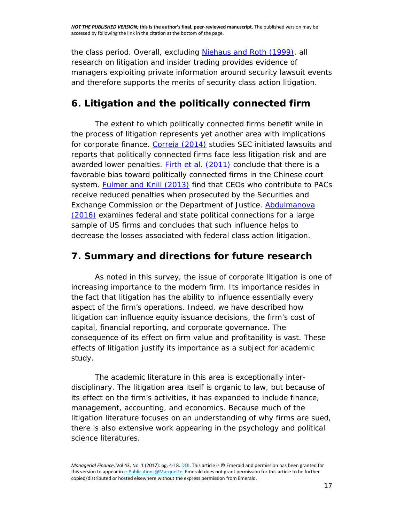the class period. Overall, excluding [Niehaus and Roth \(1999\),](http://www.emeraldinsight.com/doi/full/10.1108/MF-07-2016-0199) all research on litigation and insider trading provides evidence of managers exploiting private information around security lawsuit events and therefore supports the merits of security class action litigation.

#### **6. Litigation and the politically connected firm**

The extent to which politically connected firms benefit while in the process of litigation represents yet another area with implications for corporate finance. [Correia \(2014\)](http://www.emeraldinsight.com/doi/full/10.1108/MF-07-2016-0199) studies SEC initiated lawsuits and reports that politically connected firms face less litigation risk and are awarded lower penalties. Firth *et al.* [\(2011\)](http://www.emeraldinsight.com/doi/full/10.1108/MF-07-2016-0199) conclude that there is a favorable bias toward politically connected firms in the Chinese court system. [Fulmer and Knill \(2013\)](http://www.emeraldinsight.com/doi/full/10.1108/MF-07-2016-0199) find that CEOs who contribute to PACs receive reduced penalties when prosecuted by the Securities and Exchange Commission or the Department of Justice. Abdulmanova [\(2016\)](http://www.emeraldinsight.com/doi/full/10.1108/MF-07-2016-0199) examines federal and state political connections for a large sample of US firms and concludes that such influence helps to decrease the losses associated with federal class action litigation.

#### **7. Summary and directions for future research**

As noted in this survey, the issue of corporate litigation is one of increasing importance to the modern firm. Its importance resides in the fact that litigation has the ability to influence essentially every aspect of the firm's operations. Indeed, we have described how litigation can influence equity issuance decisions, the firm's cost of capital, financial reporting, and corporate governance. The consequence of its effect on firm value and profitability is vast. These effects of litigation justify its importance as a subject for academic study.

The academic literature in this area is exceptionally interdisciplinary. The litigation area itself is organic to law, but because of its effect on the firm's activities, it has expanded to include finance, management, accounting, and economics. Because much of the litigation literature focuses on an understanding of why firms are sued, there is also extensive work appearing in the psychology and political science literatures.

*Managerial Finance*, Vol 43, No. 1 (2017): pg. 4-18[. DOI.](https://doi.org/10.1108/MF-07-2016-0199) This article is © Emerald and permission has been granted for this version to appear i[n e-Publications@Marquette.](http://epublications.marquette.edu/) Emerald does not grant permission for this article to be further copied/distributed or hosted elsewhere without the express permission from Emerald.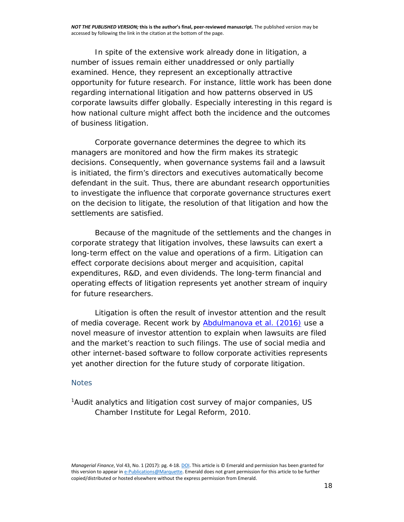In spite of the extensive work already done in litigation, a number of issues remain either unaddressed or only partially examined. Hence, they represent an exceptionally attractive opportunity for future research. For instance, little work has been done regarding international litigation and how patterns observed in US corporate lawsuits differ globally. Especially interesting in this regard is how national culture might affect both the incidence and the outcomes of business litigation.

Corporate governance determines the degree to which its managers are monitored and how the firm makes its strategic decisions. Consequently, when governance systems fail and a lawsuit is initiated, the firm's directors and executives automatically become defendant in the suit. Thus, there are abundant research opportunities to investigate the influence that corporate governance structures exert on the decision to litigate, the resolution of that litigation and how the settlements are satisfied.

Because of the magnitude of the settlements and the changes in corporate strategy that litigation involves, these lawsuits can exert a long-term effect on the value and operations of a firm. Litigation can effect corporate decisions about merger and acquisition, capital expenditures, R&D, and even dividends. The long-term financial and operating effects of litigation represents yet another stream of inquiry for future researchers.

Litigation is often the result of investor attention and the result of media coverage. Recent work by [Abdulmanova](http://www.emeraldinsight.com/doi/full/10.1108/MF-07-2016-0199) *et al.* (2016) use a novel measure of investor attention to explain when lawsuits are filed and the market's reaction to such filings. The use of social media and other internet-based software to follow corporate activities represents yet another direction for the future study of corporate litigation.

#### **Notes**

<sup>1</sup>Audit analytics and litigation cost survey of major companies, US Chamber Institute for Legal Reform, 2010.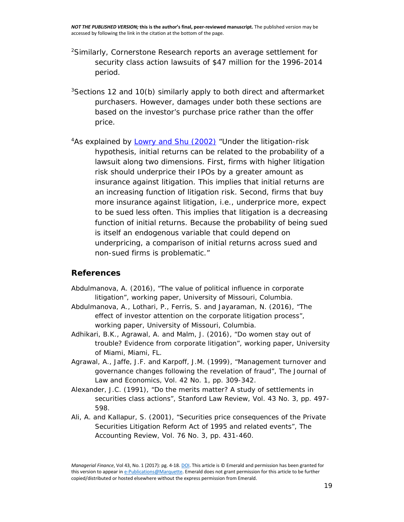- 2Similarly, Cornerstone Research reports an average settlement for security class action lawsuits of \$47 million for the 1996-2014 period.
- $3$ Sections 12 and 10(b) similarly apply to both direct and aftermarket purchasers. However, damages under both these sections are based on the investor's purchase price rather than the offer price.
- <sup>4</sup>As explained by **Lowry and Shu (2002)** "Under the litigation-risk hypothesis, initial returns can be related to the probability of a lawsuit along two dimensions. First, firms with higher litigation risk should underprice their IPOs by a greater amount as insurance against litigation. This implies that initial returns are an increasing function of litigation risk. Second, firms that buy more insurance against litigation, i.e., underprice more, expect to be sued less often. This implies that litigation is a decreasing function of initial returns. Because the probability of being sued is itself an endogenous variable that could depend on underpricing, a comparison of initial returns across sued and non-sued firms is problematic."

#### **References**

- Abdulmanova, A. (2016), "The value of political influence in corporate litigation", working paper, University of Missouri, Columbia.
- Abdulmanova, A., Lothari, P., Ferris, S. and Jayaraman, N. (2016), "The effect of investor attention on the corporate litigation process", working paper, University of Missouri, Columbia.
- Adhikari, B.K., Agrawal, A. and Malm, J. (2016), "Do women stay out of trouble? Evidence from corporate litigation", working paper, University of Miami, Miami, FL.
- Agrawal, A., Jaffe, J.F. and Karpoff, J.M. (1999), "Management turnover and governance changes following the revelation of fraud", The Journal of Law and Economics, Vol. 42 No. 1, pp. 309-342.
- Alexander, J.C. (1991), "Do the merits matter? A study of settlements in securities class actions", Stanford Law Review, Vol. 43 No. 3, pp. 497- 598.
- Ali, A. and Kallapur, S. (2001), "Securities price consequences of the Private Securities Litigation Reform Act of 1995 and related events", The Accounting Review, Vol. 76 No. 3, pp. 431-460.

*Managerial Finance*, Vol 43, No. 1 (2017): pg. 4-18[. DOI.](https://doi.org/10.1108/MF-07-2016-0199) This article is © Emerald and permission has been granted for this version to appear i[n e-Publications@Marquette.](http://epublications.marquette.edu/) Emerald does not grant permission for this article to be further copied/distributed or hosted elsewhere without the express permission from Emerald.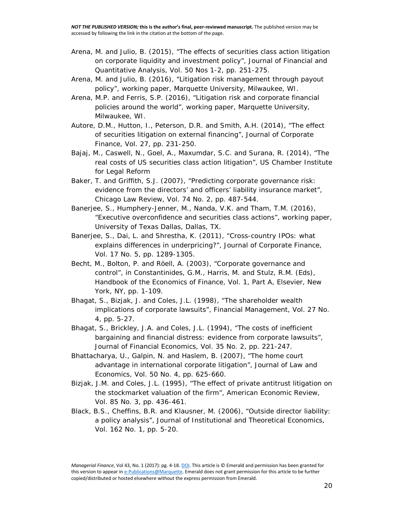- Arena, M. and Julio, B. (2015), "The effects of securities class action litigation on corporate liquidity and investment policy", Journal of Financial and Quantitative Analysis, Vol. 50 Nos 1-2, pp. 251-275.
- Arena, M. and Julio, B. (2016), "Litigation risk management through payout policy", working paper, Marquette University, Milwaukee, WI.
- Arena, M.P. and Ferris, S.P. (2016), "Litigation risk and corporate financial policies around the world", working paper, Marquette University, Milwaukee, WI.
- Autore, D.M., Hutton, I., Peterson, D.R. and Smith, A.H. (2014), "The effect of securities litigation on external financing", Journal of Corporate Finance, Vol. 27, pp. 231-250.
- Bajaj, M., Caswell, N., Goel, A., Maxumdar, S.C. and Surana, R. (2014), "The real costs of US securities class action litigation", US Chamber Institute for Legal Reform
- Baker, T. and Griffith, S.J. (2007), "Predicting corporate governance risk: evidence from the directors' and officers' liability insurance market", Chicago Law Review, Vol. 74 No. 2, pp. 487-544.
- Banerjee, S., Humphery-Jenner, M., Nanda, V.K. and Tham, T.M. (2016), "Executive overconfidence and securities class actions", working paper, University of Texas Dallas, Dallas, TX.
- Banerjee, S., Dai, L. and Shrestha, K. (2011), "Cross-country IPOs: what explains differences in underpricing?", Journal of Corporate Finance, Vol. 17 No. 5, pp. 1289-1305.
- Becht, M., Bolton, P. and Röell, A. (2003), "Corporate governance and control", in Constantinides, G.M., Harris, M. and Stulz, R.M. (Eds), Handbook of the Economics of Finance, Vol. 1, Part A, Elsevier, New York, NY, pp. 1-109.
- Bhagat, S., Bizjak, J. and Coles, J.L. (1998), "The shareholder wealth implications of corporate lawsuits", Financial Management, Vol. 27 No. 4, pp. 5-27.
- Bhagat, S., Brickley, J.A. and Coles, J.L. (1994), "The costs of inefficient bargaining and financial distress: evidence from corporate lawsuits", Journal of Financial Economics, Vol. 35 No. 2, pp. 221-247.
- Bhattacharya, U., Galpin, N. and Haslem, B. (2007), "The home court advantage in international corporate litigation", Journal of Law and Economics, Vol. 50 No. 4, pp. 625-660.
- Bizjak, J.M. and Coles, J.L. (1995), "The effect of private antitrust litigation on the stockmarket valuation of the firm", American Economic Review, Vol. 85 No. 3, pp. 436-461.
- Black, B.S., Cheffins, B.R. and Klausner, M. (2006), "Outside director liability: a policy analysis", Journal of Institutional and Theoretical Economics, Vol. 162 No. 1, pp. 5-20.

*Managerial Finance*, Vol 43, No. 1 (2017): pg. 4-18[. DOI.](https://doi.org/10.1108/MF-07-2016-0199) This article is © Emerald and permission has been granted for this version to appear i[n e-Publications@Marquette.](http://epublications.marquette.edu/) Emerald does not grant permission for this article to be further copied/distributed or hosted elsewhere without the express permission from Emerald.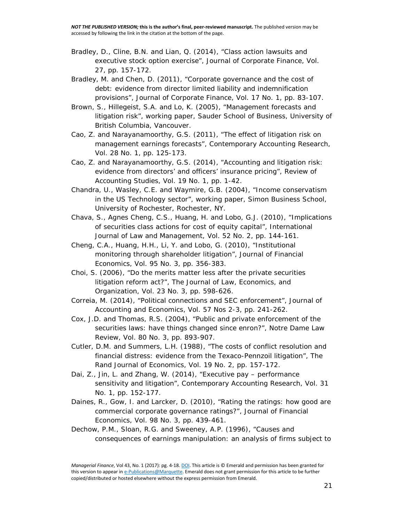- Bradley, D., Cline, B.N. and Lian, Q. (2014), "Class action lawsuits and executive stock option exercise", Journal of Corporate Finance, Vol. 27, pp. 157-172.
- Bradley, M. and Chen, D. (2011), "Corporate governance and the cost of debt: evidence from director limited liability and indemnification provisions", Journal of Corporate Finance, Vol. 17 No. 1, pp. 83-107.
- Brown, S., Hillegeist, S.A. and Lo, K. (2005), "Management forecasts and litigation risk", working paper, Sauder School of Business, University of British Columbia, Vancouver.
- Cao, Z. and Narayanamoorthy, G.S. (2011), "The effect of litigation risk on management earnings forecasts", Contemporary Accounting Research, Vol. 28 No. 1, pp. 125-173.
- Cao, Z. and Narayanamoorthy, G.S. (2014), "Accounting and litigation risk: evidence from directors' and officers' insurance pricing", Review of Accounting Studies, Vol. 19 No. 1, pp. 1-42.
- Chandra, U., Wasley, C.E. and Waymire, G.B. (2004), "Income conservatism in the US Technology sector", working paper, Simon Business School, University of Rochester, Rochester, NY.
- Chava, S., Agnes Cheng, C.S., Huang, H. and Lobo, G.J. (2010), "Implications of securities class actions for cost of equity capital", International Journal of Law and Management, Vol. 52 No. 2, pp. 144-161.
- Cheng, C.A., Huang, H.H., Li, Y. and Lobo, G. (2010), "Institutional monitoring through shareholder litigation", Journal of Financial Economics, Vol. 95 No. 3, pp. 356-383.
- Choi, S. (2006), "Do the merits matter less after the private securities litigation reform act?", The Journal of Law, Economics, and Organization, Vol. 23 No. 3, pp. 598-626.
- Correia, M. (2014), "Political connections and SEC enforcement", Journal of Accounting and Economics, Vol. 57 Nos 2-3, pp. 241-262.
- Cox, J.D. and Thomas, R.S. (2004), "Public and private enforcement of the securities laws: have things changed since enron?", Notre Dame Law Review, Vol. 80 No. 3, pp. 893-907.
- Cutler, D.M. and Summers, L.H. (1988), "The costs of conflict resolution and financial distress: evidence from the Texaco-Pennzoil litigation", The Rand Journal of Economics, Vol. 19 No. 2, pp. 157-172.
- Dai, Z., Jin, L. and Zhang, W. (2014), "Executive pay performance sensitivity and litigation", Contemporary Accounting Research, Vol. 31 No. 1, pp. 152-177.
- Daines, R., Gow, I. and Larcker, D. (2010), "Rating the ratings: how good are commercial corporate governance ratings?", Journal of Financial Economics, Vol. 98 No. 3, pp. 439-461.
- Dechow, P.M., Sloan, R.G. and Sweeney, A.P. (1996), "Causes and consequences of earnings manipulation: an analysis of firms subject to

*Managerial Finance*, Vol 43, No. 1 (2017): pg. 4-18[. DOI.](https://doi.org/10.1108/MF-07-2016-0199) This article is © Emerald and permission has been granted for this version to appear i[n e-Publications@Marquette.](http://epublications.marquette.edu/) Emerald does not grant permission for this article to be further copied/distributed or hosted elsewhere without the express permission from Emerald.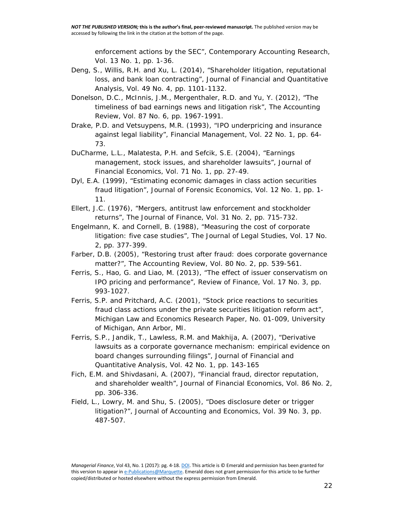enforcement actions by the SEC", Contemporary Accounting Research, Vol. 13 No. 1, pp. 1-36.

- Deng, S., Willis, R.H. and Xu, L. (2014), "Shareholder litigation, reputational loss, and bank loan contracting", Journal of Financial and Quantitative Analysis, Vol. 49 No. 4, pp. 1101-1132.
- Donelson, D.C., McInnis, J.M., Mergenthaler, R.D. and Yu, Y. (2012), "The timeliness of bad earnings news and litigation risk", The Accounting Review, Vol. 87 No. 6, pp. 1967-1991.
- Drake, P.D. and Vetsuypens, M.R. (1993), "IPO underpricing and insurance against legal liability", Financial Management, Vol. 22 No. 1, pp. 64- 73.
- DuCharme, L.L., Malatesta, P.H. and Sefcik, S.E. (2004), "Earnings management, stock issues, and shareholder lawsuits", Journal of Financial Economics, Vol. 71 No. 1, pp. 27-49.
- Dyl, E.A. (1999), "Estimating economic damages in class action securities fraud litigation", Journal of Forensic Economics, Vol. 12 No. 1, pp. 1- 11.
- Ellert, J.C. (1976), "Mergers, antitrust law enforcement and stockholder returns", The Journal of Finance, Vol. 31 No. 2, pp. 715-732.
- Engelmann, K. and Cornell, B. (1988), "Measuring the cost of corporate litigation: five case studies", The Journal of Legal Studies, Vol. 17 No. 2, pp. 377-399.
- Farber, D.B. (2005), "Restoring trust after fraud: does corporate governance matter?", The Accounting Review, Vol. 80 No. 2, pp. 539-561.
- Ferris, S., Hao, G. and Liao, M. (2013), "The effect of issuer conservatism on IPO pricing and performance", Review of Finance, Vol. 17 No. 3, pp. 993-1027.
- Ferris, S.P. and Pritchard, A.C. (2001), "Stock price reactions to securities fraud class actions under the private securities litigation reform act", Michigan Law and Economics Research Paper, No. 01-009, University of Michigan, Ann Arbor, MI.
- Ferris, S.P., Jandik, T., Lawless, R.M. and Makhija, A. (2007), "Derivative lawsuits as a corporate governance mechanism: empirical evidence on board changes surrounding filings", Journal of Financial and Quantitative Analysis, Vol. 42 No. 1, pp. 143-165
- Fich, E.M. and Shivdasani, A. (2007), "Financial fraud, director reputation, and shareholder wealth", Journal of Financial Economics, Vol. 86 No. 2, pp. 306-336.
- Field, L., Lowry, M. and Shu, S. (2005), "Does disclosure deter or trigger litigation?", Journal of Accounting and Economics, Vol. 39 No. 3, pp. 487-507.

*Managerial Finance*, Vol 43, No. 1 (2017): pg. 4-18[. DOI.](https://doi.org/10.1108/MF-07-2016-0199) This article is © Emerald and permission has been granted for this version to appear i[n e-Publications@Marquette.](http://epublications.marquette.edu/) Emerald does not grant permission for this article to be further copied/distributed or hosted elsewhere without the express permission from Emerald.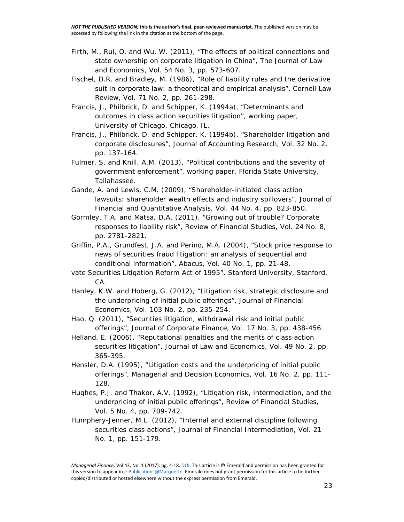- Firth, M., Rui, O. and Wu, W. (2011), "The effects of political connections and state ownership on corporate litigation in China", The Journal of Law and Economics, Vol. 54 No. 3, pp. 573-607.
- Fischel, D.R. and Bradley, M. (1986), "Role of liability rules and the derivative suit in corporate law: a theoretical and empirical analysis", Cornell Law Review, Vol. 71 No. 2, pp. 261-298.
- Francis, J., Philbrick, D. and Schipper, K. (1994a), "Determinants and outcomes in class action securities litigation", working paper, University of Chicago, Chicago, IL.
- Francis, J., Philbrick, D. and Schipper, K. (1994b), "Shareholder litigation and corporate disclosures", Journal of Accounting Research, Vol. 32 No. 2, pp. 137-164.
- Fulmer, S. and Knill, A.M. (2013), "Political contributions and the severity of government enforcement", working paper, Florida State University, Tallahassee.
- Gande, A. and Lewis, C.M. (2009), "Shareholder-initiated class action lawsuits: shareholder wealth effects and industry spillovers", Journal of Financial and Quantitative Analysis, Vol. 44 No. 4, pp. 823-850.
- Gormley, T.A. and Matsa, D.A. (2011), "Growing out of trouble? Corporate responses to liability risk", Review of Financial Studies, Vol. 24 No. 8, pp. 2781-2821.
- Griffin, P.A., Grundfest, J.A. and Perino, M.A. (2004), "Stock price response to news of securities fraud litigation: an analysis of sequential and conditional information", Abacus, Vol. 40 No. 1, pp. 21-48.
- vate Securities Litigation Reform Act of 1995", Stanford University, Stanford, CA.
- Hanley, K.W. and Hoberg, G. (2012), "Litigation risk, strategic disclosure and the underpricing of initial public offerings", Journal of Financial Economics, Vol. 103 No. 2, pp. 235-254.
- Hao, Q. (2011), "Securities litigation, withdrawal risk and initial public offerings", Journal of Corporate Finance, Vol. 17 No. 3, pp. 438-456.
- Helland, E. (2006), "Reputational penalties and the merits of class‐action securities litigation", Journal of Law and Economics, Vol. 49 No. 2, pp. 365-395.
- Hensler, D.A. (1995), "Litigation costs and the underpricing of initial public offerings", Managerial and Decision Economics, Vol. 16 No. 2, pp. 111- 128.
- Hughes, P.J. and Thakor, A.V. (1992), "Litigation risk, intermediation, and the underpricing of initial public offerings", Review of Financial Studies, Vol. 5 No. 4, pp. 709-742.
- Humphery-Jenner, M.L. (2012), "Internal and external discipline following securities class actions", Journal of Financial Intermediation, Vol. 21 No. 1, pp. 151-179.

*Managerial Finance*, Vol 43, No. 1 (2017): pg. 4-18[. DOI.](https://doi.org/10.1108/MF-07-2016-0199) This article is © Emerald and permission has been granted for this version to appear i[n e-Publications@Marquette.](http://epublications.marquette.edu/) Emerald does not grant permission for this article to be further copied/distributed or hosted elsewhere without the express permission from Emerald.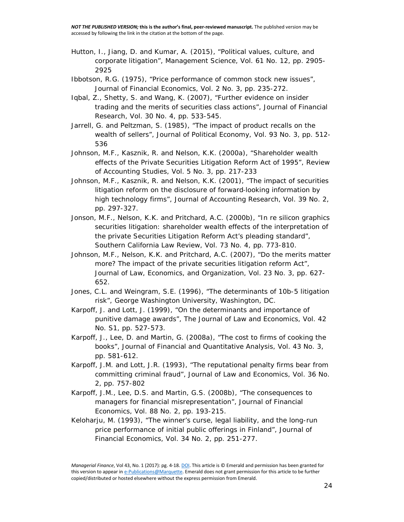- Hutton, I., Jiang, D. and Kumar, A. (2015), "Political values, culture, and corporate litigation", Management Science, Vol. 61 No. 12, pp. 2905- 2925
- Ibbotson, R.G. (1975), "Price performance of common stock new issues", Journal of Financial Economics, Vol. 2 No. 3, pp. 235-272.
- Iqbal, Z., Shetty, S. and Wang, K. (2007), "Further evidence on insider trading and the merits of securities class actions", Journal of Financial Research, Vol. 30 No. 4, pp. 533-545.
- Jarrell, G. and Peltzman, S. (1985), "The impact of product recalls on the wealth of sellers", Journal of Political Economy, Vol. 93 No. 3, pp. 512- 536
- Johnson, M.F., Kasznik, R. and Nelson, K.K. (2000a), "Shareholder wealth effects of the Private Securities Litigation Reform Act of 1995", Review of Accounting Studies, Vol. 5 No. 3, pp. 217-233
- Johnson, M.F., Kasznik, R. and Nelson, K.K. (2001), "The impact of securities litigation reform on the disclosure of forward‐looking information by high technology firms", Journal of Accounting Research, Vol. 39 No. 2, pp. 297-327.
- Jonson, M.F., Nelson, K.K. and Pritchard, A.C. (2000b), "In re silicon graphics securities litigation: shareholder wealth effects of the interpretation of the private Securities Litigation Reform Act's pleading standard", Southern California Law Review, Vol. 73 No. 4, pp. 773-810.
- Johnson, M.F., Nelson, K.K. and Pritchard, A.C. (2007), "Do the merits matter more? The impact of the private securities litigation reform Act", Journal of Law, Economics, and Organization, Vol. 23 No. 3, pp. 627- 652.
- Jones, C.L. and Weingram, S.E. (1996), "The determinants of 10b-5 litigation risk", George Washington University, Washington, DC.
- Karpoff, J. and Lott, J. (1999), "On the determinants and importance of punitive damage awards", The Journal of Law and Economics, Vol. 42 No. S1, pp. 527-573.
- Karpoff, J., Lee, D. and Martin, G. (2008a), "The cost to firms of cooking the books", Journal of Financial and Quantitative Analysis, Vol. 43 No. 3, pp. 581-612.
- Karpoff, J.M. and Lott, J.R. (1993), "The reputational penalty firms bear from committing criminal fraud", Journal of Law and Economics, Vol. 36 No. 2, pp. 757-802
- Karpoff, J.M., Lee, D.S. and Martin, G.S. (2008b), "The consequences to managers for financial misrepresentation", Journal of Financial Economics, Vol. 88 No. 2, pp. 193-215.
- Keloharju, M. (1993), "The winner's curse, legal liability, and the long-run price performance of initial public offerings in Finland", Journal of Financial Economics, Vol. 34 No. 2, pp. 251-277.

*Managerial Finance*, Vol 43, No. 1 (2017): pg. 4-18[. DOI.](https://doi.org/10.1108/MF-07-2016-0199) This article is © Emerald and permission has been granted for this version to appear i[n e-Publications@Marquette.](http://epublications.marquette.edu/) Emerald does not grant permission for this article to be further copied/distributed or hosted elsewhere without the express permission from Emerald.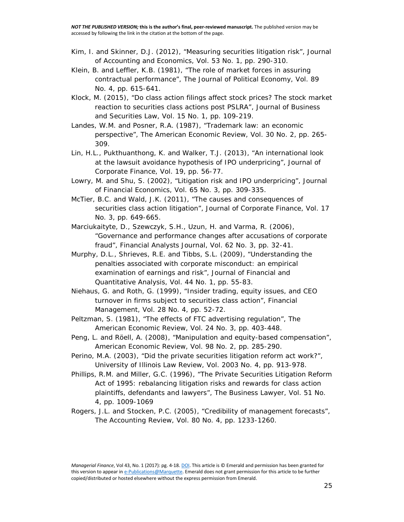- Kim, I. and Skinner, D.J. (2012), "Measuring securities litigation risk", Journal of Accounting and Economics, Vol. 53 No. 1, pp. 290-310.
- Klein, B. and Leffler, K.B. (1981), "The role of market forces in assuring contractual performance", The Journal of Political Economy, Vol. 89 No. 4, pp. 615-641.
- Klock, M. (2015), "Do class action filings affect stock prices? The stock market reaction to securities class actions post PSLRA", Journal of Business and Securities Law, Vol. 15 No. 1, pp. 109-219.
- Landes, W.M. and Posner, R.A. (1987), "Trademark law: an economic perspective", The American Economic Review, Vol. 30 No. 2, pp. 265- 309.
- Lin, H.L., Pukthuanthong, K. and Walker, T.J. (2013), "An international look at the lawsuit avoidance hypothesis of IPO underpricing", Journal of Corporate Finance, Vol. 19, pp. 56-77.
- Lowry, M. and Shu, S. (2002), "Litigation risk and IPO underpricing", Journal of Financial Economics, Vol. 65 No. 3, pp. 309-335.
- McTier, B.C. and Wald, J.K. (2011), "The causes and consequences of securities class action litigation", Journal of Corporate Finance, Vol. 17 No. 3, pp. 649-665.
- Marciukaityte, D., Szewczyk, S.H., Uzun, H. and Varma, R. (2006), "Governance and performance changes after accusations of corporate fraud", Financial Analysts Journal, Vol. 62 No. 3, pp. 32-41.
- Murphy, D.L., Shrieves, R.E. and Tibbs, S.L. (2009), "Understanding the penalties associated with corporate misconduct: an empirical examination of earnings and risk", Journal of Financial and Quantitative Analysis, Vol. 44 No. 1, pp. 55-83.
- Niehaus, G. and Roth, G. (1999), "Insider trading, equity issues, and CEO turnover in firms subject to securities class action", Financial Management, Vol. 28 No. 4, pp. 52-72.
- Peltzman, S. (1981), "The effects of FTC advertising regulation", The American Economic Review, Vol. 24 No. 3, pp. 403-448.
- Peng, L. and Röell, A. (2008), "Manipulation and equity-based compensation", American Economic Review, Vol. 98 No. 2, pp. 285-290.
- Perino, M.A. (2003), "Did the private securities litigation reform act work?", University of Illinois Law Review, Vol. 2003 No. 4, pp. 913-978.
- Phillips, R.M. and Miller, G.C. (1996), "The Private Securities Litigation Reform Act of 1995: rebalancing litigation risks and rewards for class action plaintiffs, defendants and lawyers", The Business Lawyer, Vol. 51 No. 4, pp. 1009-1069
- Rogers, J.L. and Stocken, P.C. (2005), "Credibility of management forecasts", The Accounting Review, Vol. 80 No. 4, pp. 1233-1260.